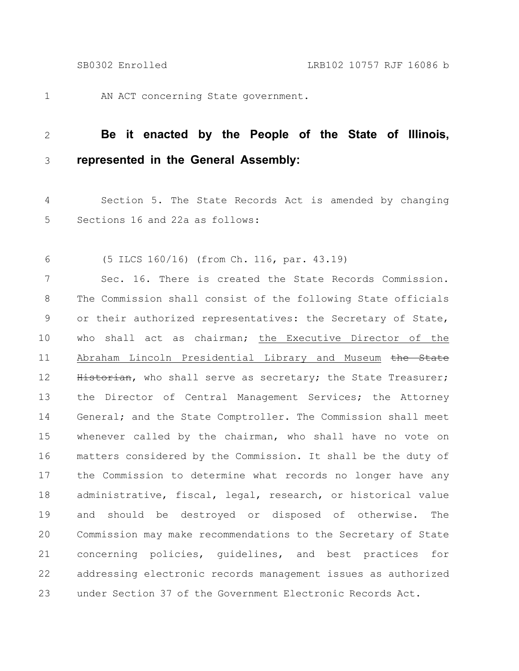1

AN ACT concerning State government.

## **Be it enacted by the People of the State of Illinois, represented in the General Assembly:** 2 3

Section 5. The State Records Act is amended by changing Sections 16 and 22a as follows: 4 5

(5 ILCS 160/16) (from Ch. 116, par. 43.19) 6

Sec. 16. There is created the State Records Commission. The Commission shall consist of the following State officials or their authorized representatives: the Secretary of State, who shall act as chairman; the Executive Director of the Abraham Lincoln Presidential Library and Museum the State Historian, who shall serve as secretary; the State Treasurer; the Director of Central Management Services; the Attorney General; and the State Comptroller. The Commission shall meet whenever called by the chairman, who shall have no vote on matters considered by the Commission. It shall be the duty of the Commission to determine what records no longer have any administrative, fiscal, legal, research, or historical value and should be destroyed or disposed of otherwise. The Commission may make recommendations to the Secretary of State concerning policies, guidelines, and best practices for addressing electronic records management issues as authorized under Section 37 of the Government Electronic Records Act. 7 8 9 10 11 12 13 14 15 16 17 18 19 20 21 22 23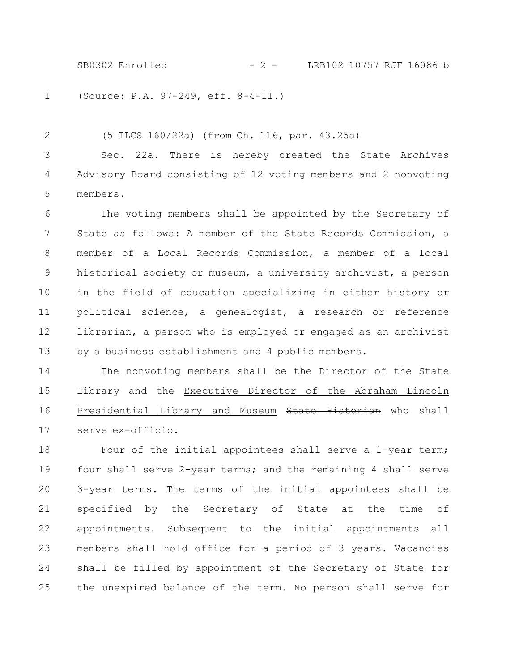SB0302 Enrolled - 2 - LRB102 10757 RJF 16086 b

(Source: P.A. 97-249, eff. 8-4-11.) 1

(5 ILCS 160/22a) (from Ch. 116, par. 43.25a) Sec. 22a. There is hereby created the State Archives Advisory Board consisting of 12 voting members and 2 nonvoting members. 2 3 4 5

The voting members shall be appointed by the Secretary of State as follows: A member of the State Records Commission, a member of a Local Records Commission, a member of a local historical society or museum, a university archivist, a person in the field of education specializing in either history or political science, a genealogist, a research or reference librarian, a person who is employed or engaged as an archivist by a business establishment and 4 public members. 6 7 8 9 10 11 12 13

The nonvoting members shall be the Director of the State Library and the Executive Director of the Abraham Lincoln Presidential Library and Museum State Historian who shall serve ex-officio. 14 15 16 17

Four of the initial appointees shall serve a 1-year term; four shall serve 2-year terms; and the remaining 4 shall serve 3-year terms. The terms of the initial appointees shall be specified by the Secretary of State at the time of appointments. Subsequent to the initial appointments all members shall hold office for a period of 3 years. Vacancies shall be filled by appointment of the Secretary of State for the unexpired balance of the term. No person shall serve for 18 19 20 21 22 23 24 25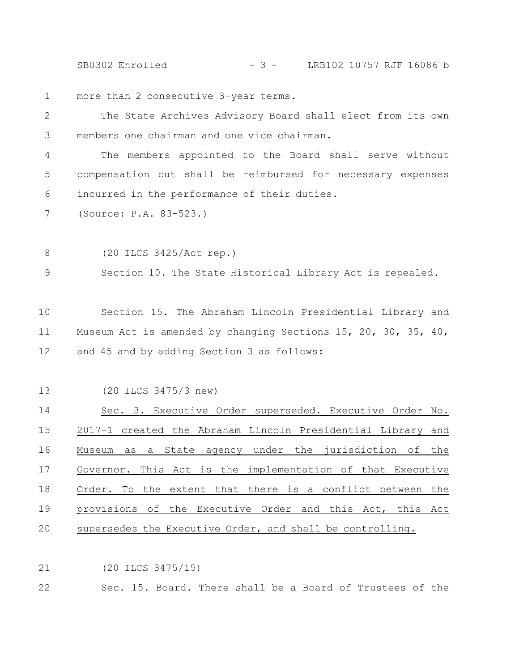SB0302 Enrolled - 3 - LRB102 10757 RJF 16086 b

more than 2 consecutive 3-year terms. 1

The State Archives Advisory Board shall elect from its own members one chairman and one vice chairman. 2 3

The members appointed to the Board shall serve without compensation but shall be reimbursed for necessary expenses incurred in the performance of their duties. 4 5 6

(Source: P.A. 83-523.) 7

(20 ILCS 3425/Act rep.) 8

Section 10. The State Historical Library Act is repealed. 9

Section 15. The Abraham Lincoln Presidential Library and Museum Act is amended by changing Sections 15, 20, 30, 35, 40, and 45 and by adding Section 3 as follows: 10 11 12

(20 ILCS 3475/3 new) 13

Sec. 3. Executive Order superseded. Executive Order No. 2017-1 created the Abraham Lincoln Presidential Library and Museum as a State agency under the jurisdiction of the Governor. This Act is the implementation of that Executive Order. To the extent that there is a conflict between the provisions of the Executive Order and this Act, this Act supersedes the Executive Order, and shall be controlling. 14 15 16 17 18 19 20

(20 ILCS 3475/15) 21

Sec. 15. Board. There shall be a Board of Trustees of the 22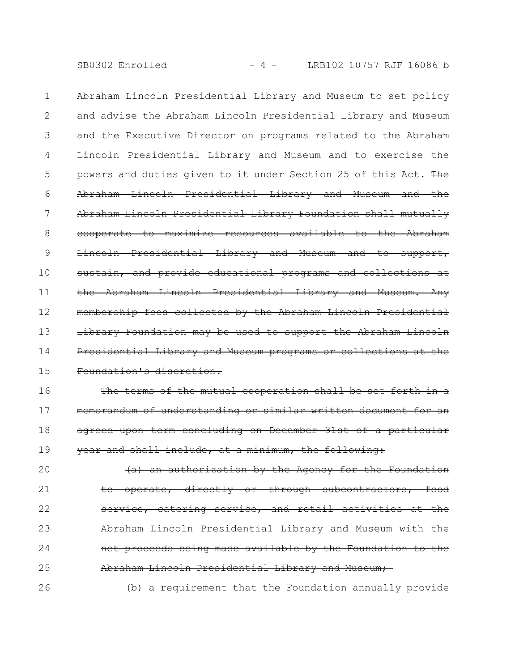SB0302 Enrolled - 4 - LRB102 10757 RJF 16086 b

Abraham Lincoln Presidential Library and Museum to set policy and advise the Abraham Lincoln Presidential Library and Museum and the Executive Director on programs related to the Abraham Lincoln Presidential Library and Museum and to exercise the powers and duties given to it under Section 25 of this Act. The Abraham Lincoln Presidential Library and Museum and the Abraham Lincoln Presidential Library Foundation shall mutually cooperate to maximize resources available to the Abraham Lincoln Presidential Library and Museum and to support, sustain, and provide educational programs and collections at the Abraham Lincoln Presidential Library and Museum. Any membership fees collected by the Abraham Lincoln Presidential Library Foundation may be used to support the Abraham Lincoln Presidential Library and Museum programs or collections at the Foundation's discretion. 1 2 3 4 5 6 7 8 9 10 11 12 13 14 15

The terms of the mutual cooperation shall be set forth in a memorandum of understanding or similar written document for agreed upon term concluding on December 31st of a particular year and shall include, at a minimum, the following: 16 17 18 19

(a) an authorization by the Agency for the Foundation operate, directly or through subcontractors, service, catering service, and retail activities at the Abraham Lincoln Presidential Library and Museum with net proceeds being made available by the Foundation to the Abraham Lincoln Presidential Library and Museum; 20 21 22 23 24 25 26

(b) a requirement that the Foundation annually provide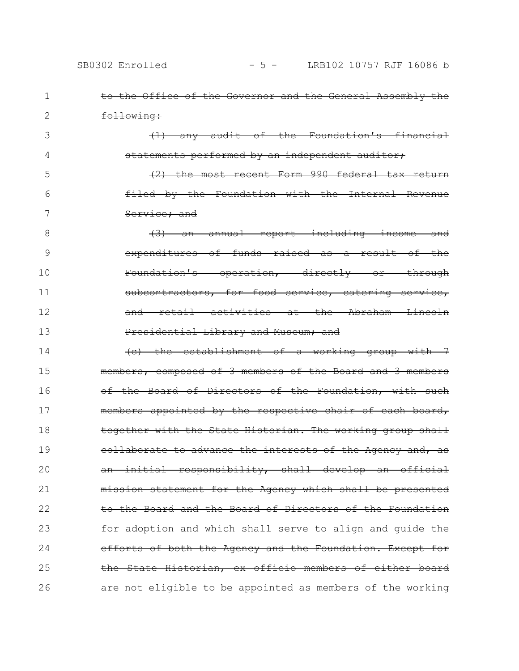|  |                       |  |  |  | to the Office of the Governor and the General Assembly the |  |
|--|-----------------------|--|--|--|------------------------------------------------------------|--|
|  |                       |  |  |  |                                                            |  |
|  | <del>following:</del> |  |  |  |                                                            |  |

1

2

3

4

(1) any audit of the Foundation's financial statements performed by an independent auditor;

(2) the most recent Form 990 federal tax return filed by the Foundation with the Internal Revenue Service; and 5 6 7

(3) an annual report including income and expenditures of funds raised as a result of the Foundation's operation, directly or through subcontractors, for food service, catering service, and retail activities at the Abraham Lincoln Presidential Library and Museum; and 8 9 10 11 12 13

(c) the establishment of a working group with 7 members, composed of 3 members of the Board and 3 members of the Board of Directors of the Foundation, with such members appointed by the respective chair of each board, together with the State Historian. The working group shall collaborate to advance the interests of the Agency and, as an initial responsibility, shall develop an official mission statement for the Agency which shall be presented to the Board and the Board of Directors of the Foundation for adoption and which shall serve to align and guide the efforts of both the Agency and the Foundation. Except for the State Historian, ex officio members of either board are not eligible to be appointed as members of the working 14 15 16 17 18 19 20 21 22 23 24 25 26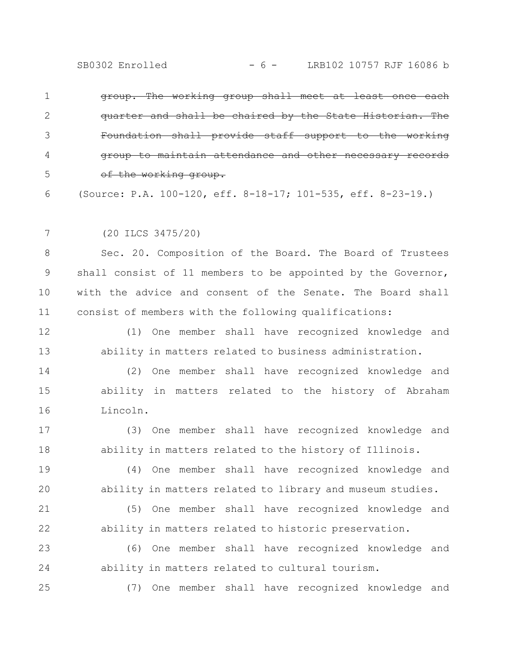| group. The working group shall meet at least once each       |
|--------------------------------------------------------------|
| quarter and shall be chaired by the State Historian. The     |
| Foundation shall provide staff support to the working        |
| group to maintain attendance and other necessary records     |
| of the working group.                                        |
| (Source: P.A. 100-120, eff. 8-18-17; 101-535, eff. 8-23-19.) |

(20 ILCS 3475/20) 7

25

Sec. 20. Composition of the Board. The Board of Trustees shall consist of 11 members to be appointed by the Governor, with the advice and consent of the Senate. The Board shall consist of members with the following qualifications: 8 9 10 11

(1) One member shall have recognized knowledge and ability in matters related to business administration. 12 13

(2) One member shall have recognized knowledge and ability in matters related to the history of Abraham Lincoln. 14 15 16

(3) One member shall have recognized knowledge and ability in matters related to the history of Illinois. 17 18

(4) One member shall have recognized knowledge and ability in matters related to library and museum studies. 19 20

(5) One member shall have recognized knowledge and ability in matters related to historic preservation. 21 22

(6) One member shall have recognized knowledge and ability in matters related to cultural tourism. 23 24

(7) One member shall have recognized knowledge and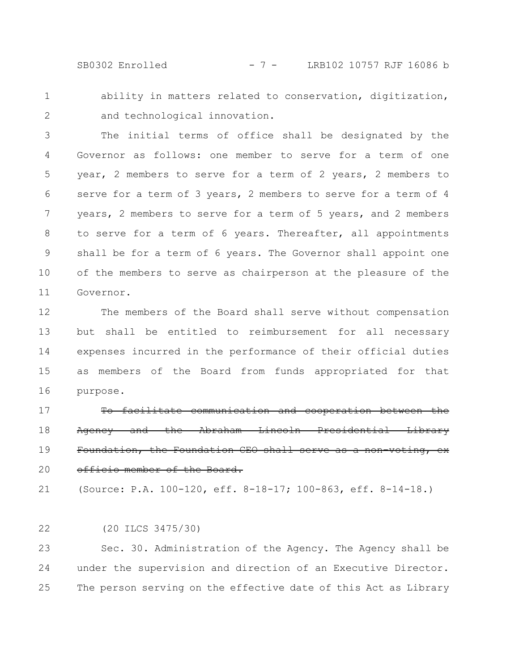SB0302 Enrolled - 7 - LRB102 10757 RJF 16086 b

ability in matters related to conservation, digitization, and technological innovation. 1 2

The initial terms of office shall be designated by the Governor as follows: one member to serve for a term of one year, 2 members to serve for a term of 2 years, 2 members to serve for a term of 3 years, 2 members to serve for a term of 4 years, 2 members to serve for a term of 5 years, and 2 members to serve for a term of 6 years. Thereafter, all appointments shall be for a term of 6 years. The Governor shall appoint one of the members to serve as chairperson at the pleasure of the Governor. 3 4 5 6 7 8 9 10 11

The members of the Board shall serve without compensation but shall be entitled to reimbursement for all necessary expenses incurred in the performance of their official duties as members of the Board from funds appropriated for that purpose. 12 13 14 15 16

To facilitate communication and cooperation between the Agency and the Abraham Lincoln Presidential Library Foundation, the Foundation CEO shall serve as a non-voting, exofficio member of the Board. 17 18 19 20

(Source: P.A. 100-120, eff. 8-18-17; 100-863, eff. 8-14-18.) 21

(20 ILCS 3475/30) 22

Sec. 30. Administration of the Agency. The Agency shall be under the supervision and direction of an Executive Director. The person serving on the effective date of this Act as Library 23 24 25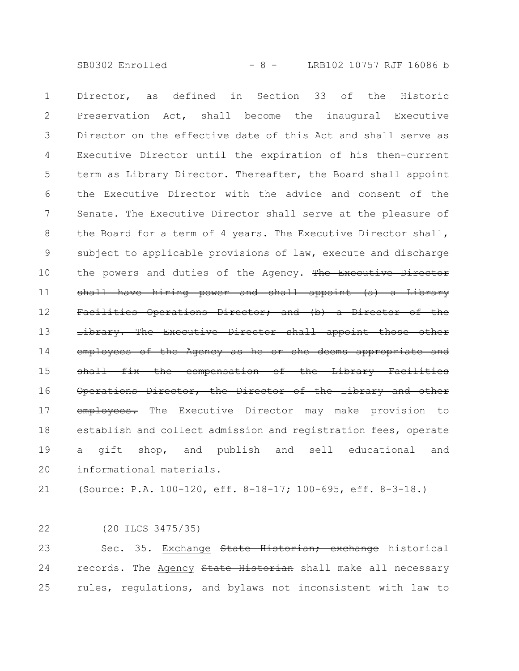SB0302 Enrolled - 8 - LRB102 10757 RJF 16086 b

Director, as defined in Section 33 of the Historic Preservation Act, shall become the inaugural Executive Director on the effective date of this Act and shall serve as Executive Director until the expiration of his then-current term as Library Director. Thereafter, the Board shall appoint the Executive Director with the advice and consent of the Senate. The Executive Director shall serve at the pleasure of the Board for a term of 4 years. The Executive Director shall, subject to applicable provisions of law, execute and discharge the powers and duties of the Agency. The Executive Director shall have hiring power and shall appoint (a) a Library Facilities Operations Director; and (b) a Director of the Library. The Executive Director shall appoint employees of the Agency as he or she deems appropriate and shall fix the compensation of the Library Facilities Operations Director, the Director of the Library and other employees. The Executive Director may make provision to establish and collect admission and registration fees, operate a gift shop, and publish and sell educational and informational materials. 1 2 3 4 5 6 7 8 9 10 11 12 13 14 15 16 17 18 19 20

(Source: P.A. 100-120, eff. 8-18-17; 100-695, eff. 8-3-18.) 21

(20 ILCS 3475/35) 22

Sec. 35. Exchange State Historian; exchange historical records. The Agency State Historian shall make all necessary rules, regulations, and bylaws not inconsistent with law to 23 24 25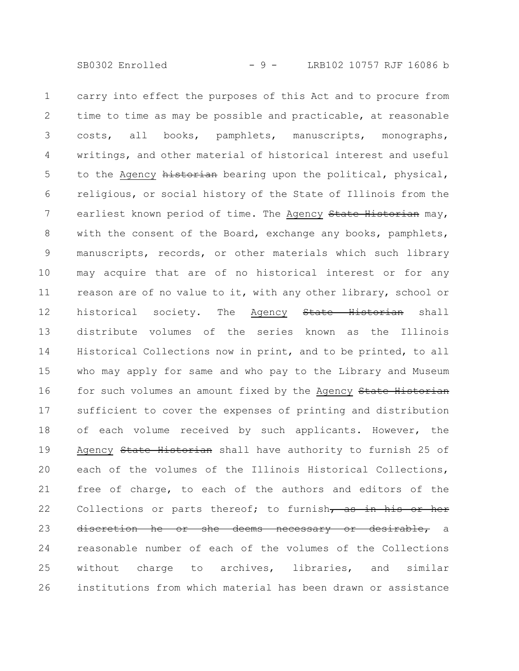carry into effect the purposes of this Act and to procure from time to time as may be possible and practicable, at reasonable costs, all books, pamphlets, manuscripts, monographs, writings, and other material of historical interest and useful to the Agency historian bearing upon the political, physical, religious, or social history of the State of Illinois from the earliest known period of time. The Agency State Historian may, with the consent of the Board, exchange any books, pamphlets, manuscripts, records, or other materials which such library may acquire that are of no historical interest or for any reason are of no value to it, with any other library, school or historical society. The Agency State Historian shall distribute volumes of the series known as the Illinois Historical Collections now in print, and to be printed, to all who may apply for same and who pay to the Library and Museum for such volumes an amount fixed by the Agency State Historian sufficient to cover the expenses of printing and distribution of each volume received by such applicants. However, the Agency State Historian shall have authority to furnish 25 of each of the volumes of the Illinois Historical Collections, free of charge, to each of the authors and editors of the Collections or parts thereof; to furnish, as in his or her discretion he or she deems necessary or desirable, a reasonable number of each of the volumes of the Collections without charge to archives, libraries, and similar institutions from which material has been drawn or assistance 1 2 3 4 5 6 7 8 9 10 11 12 13 14 15 16 17 18 19 20 21 22 23 24 25 26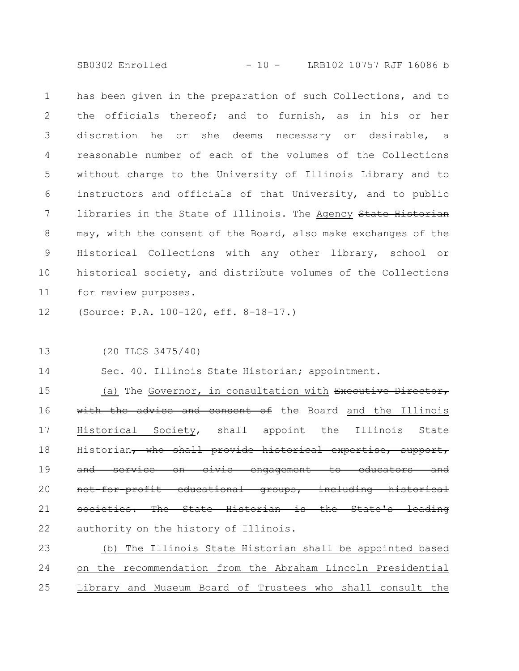SB0302 Enrolled - 10 - LRB102 10757 RJF 16086 b

has been given in the preparation of such Collections, and to the officials thereof; and to furnish, as in his or her discretion he or she deems necessary or desirable, a reasonable number of each of the volumes of the Collections without charge to the University of Illinois Library and to instructors and officials of that University, and to public libraries in the State of Illinois. The Agency State Historian may, with the consent of the Board, also make exchanges of the Historical Collections with any other library, school or historical society, and distribute volumes of the Collections for review purposes. 1 2 3 4 5 6 7 8 9 10 11

(Source: P.A. 100-120, eff. 8-18-17.) 12

(20 ILCS 3475/40) 13

Sec. 40. Illinois State Historian; appointment. 14

(a) The Governor, in consultation with Executive Director, with the advice and consent of the Board and the Illinois Historical Society, shall appoint the Illinois State Historian, who shall provide historical expertise, support, and service on civic engagement to educators and for-profit educational groups, including societies. The State Historian is the State's leading authority on the history of Illinois. 15 16 17 18 19 20 21 22

(b) The Illinois State Historian shall be appointed based on the recommendation from the Abraham Lincoln Presidential Library and Museum Board of Trustees who shall consult the 23 24 25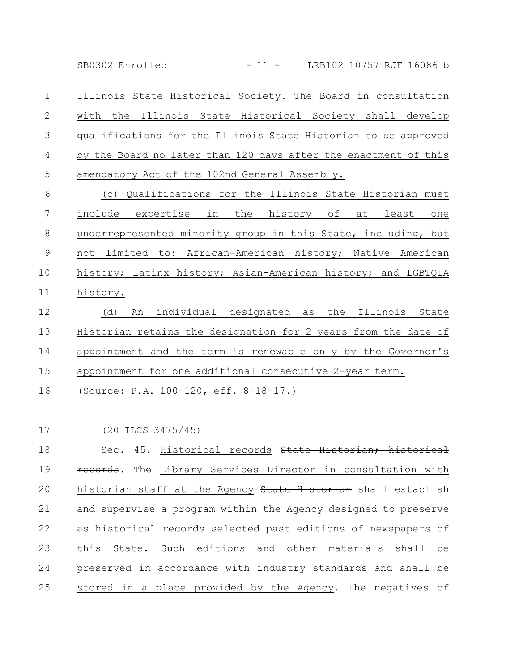SB0302 Enrolled - 11 - LRB102 10757 RJF 16086 b

Illinois State Historical Society. The Board in consultation with the Illinois State Historical Society shall develop qualifications for the Illinois State Historian to be approved by the Board no later than 120 days after the enactment of this amendatory Act of the 102nd General Assembly. 1 2 3 4 5

(c) Qualifications for the Illinois State Historian must include expertise in the history of at least one underrepresented minority group in this State, including, but not limited to: African-American history; Native American history; Latinx history; Asian-American history; and LGBTQIA history. 6 7 8 9 10 11

(d) An individual designated as the Illinois State Historian retains the designation for 2 years from the date of appointment and the term is renewable only by the Governor's appointment for one additional consecutive 2-year term. 12 13 14 15

(Source: P.A. 100-120, eff. 8-18-17.) 16

(20 ILCS 3475/45) 17

Sec. 45. Historical records State Historian; historical records. The Library Services Director in consultation with historian staff at the Agency State Historian shall establish and supervise a program within the Agency designed to preserve as historical records selected past editions of newspapers of this State. Such editions and other materials shall be preserved in accordance with industry standards and shall be stored in a place provided by the Agency. The negatives of 18 19 20 21 22 23 24 25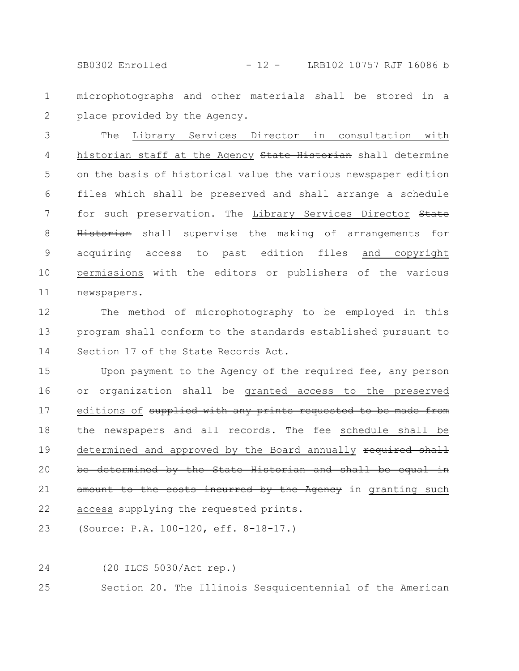SB0302 Enrolled - 12 - LRB102 10757 RJF 16086 b

microphotographs and other materials shall be stored in a place provided by the Agency. 1 2

The Library Services Director in consultation with historian staff at the Agency State Historian shall determine on the basis of historical value the various newspaper edition files which shall be preserved and shall arrange a schedule for such preservation. The Library Services Director State Historian shall supervise the making of arrangements for acquiring access to past edition files and copyright permissions with the editors or publishers of the various newspapers. 3 4 5 6 7 8 9 10 11

The method of microphotography to be employed in this program shall conform to the standards established pursuant to Section 17 of the State Records Act. 12 13 14

Upon payment to the Agency of the required fee, any person or organization shall be granted access to the preserved editions of supplied with any prints requested to be made from the newspapers and all records. The fee schedule shall be determined and approved by the Board annually required shall be determined by the State Historian and shall be equal in amount to the costs incurred by the Agency in granting such access supplying the requested prints. 15 16 17 18 19 20 21 22

(Source: P.A. 100-120, eff. 8-18-17.) 23

24

(20 ILCS 5030/Act rep.)

Section 20. The Illinois Sesquicentennial of the American 25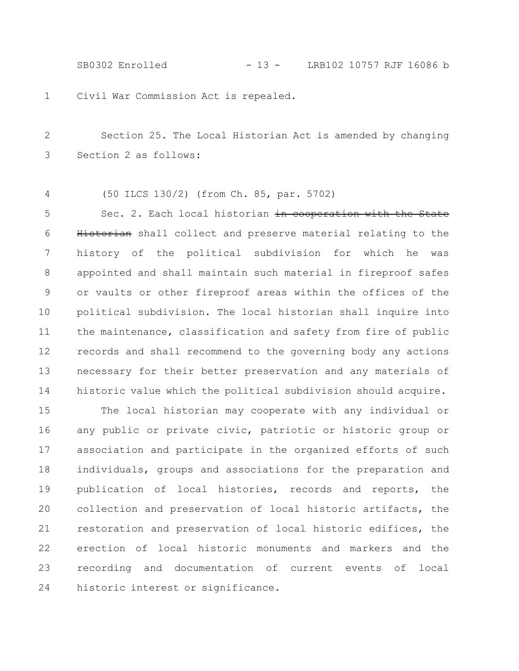SB0302 Enrolled - 13 - LRB102 10757 RJF 16086 b

Civil War Commission Act is repealed. 1

Section 25. The Local Historian Act is amended by changing Section 2 as follows: 2 3

(50 ILCS 130/2) (from Ch. 85, par. 5702) 4

Sec. 2. Each local historian in cooperation with the State Historian shall collect and preserve material relating to the history of the political subdivision for which he was appointed and shall maintain such material in fireproof safes or vaults or other fireproof areas within the offices of the political subdivision. The local historian shall inquire into the maintenance, classification and safety from fire of public records and shall recommend to the governing body any actions necessary for their better preservation and any materials of historic value which the political subdivision should acquire. 5 6 7 8 9 10 11 12 13 14

The local historian may cooperate with any individual or any public or private civic, patriotic or historic group or association and participate in the organized efforts of such individuals, groups and associations for the preparation and publication of local histories, records and reports, the collection and preservation of local historic artifacts, the restoration and preservation of local historic edifices, the erection of local historic monuments and markers and the recording and documentation of current events of local historic interest or significance. 15 16 17 18 19 20 21 22 23 24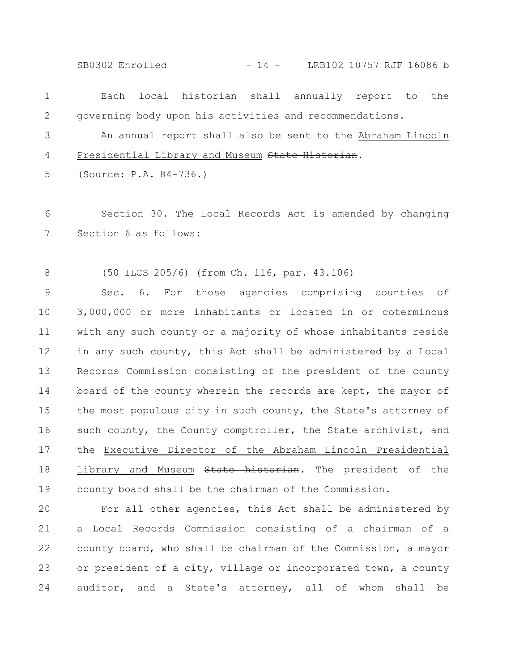SB0302 Enrolled - 14 - LRB102 10757 RJF 16086 b

| $\mathbf{1}$    |                        | Each local historian shall annually report to the          |  |  |  |  |
|-----------------|------------------------|------------------------------------------------------------|--|--|--|--|
| 2               |                        | governing body upon his activities and recommendations.    |  |  |  |  |
| 3               |                        | An annual report shall also be sent to the Abraham Lincoln |  |  |  |  |
| 4               |                        | Presidential Library and Museum State Historian.           |  |  |  |  |
| 5               | (Source: P.A. 84-736.) |                                                            |  |  |  |  |
| 6               |                        | Section 30. The Local Records Act is amended by changing   |  |  |  |  |
| $7\phantom{.0}$ | Section 6 as follows:  |                                                            |  |  |  |  |
|                 |                        |                                                            |  |  |  |  |

(50 ILCS 205/6) (from Ch. 116, par. 43.106) 8

Sec. 6. For those agencies comprising counties of 3,000,000 or more inhabitants or located in or coterminous with any such county or a majority of whose inhabitants reside in any such county, this Act shall be administered by a Local Records Commission consisting of the president of the county board of the county wherein the records are kept, the mayor of the most populous city in such county, the State's attorney of such county, the County comptroller, the State archivist, and the Executive Director of the Abraham Lincoln Presidential Library and Museum State historian. The president of the county board shall be the chairman of the Commission. 9 10 11 12 13 14 15 16 17 18 19

For all other agencies, this Act shall be administered by a Local Records Commission consisting of a chairman of a county board, who shall be chairman of the Commission, a mayor or president of a city, village or incorporated town, a county auditor, and a State's attorney, all of whom shall be 20 21 22 23 24